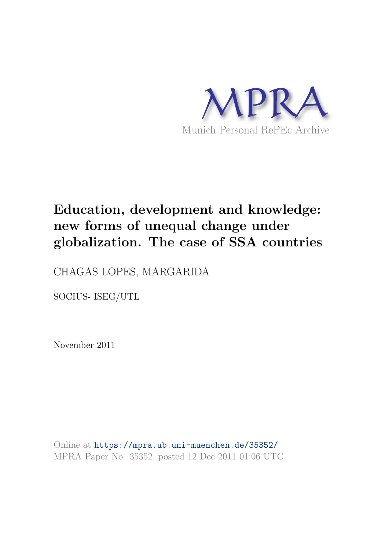

# **Education, development and knowledge: new forms of unequal change under globalization. The case of SSA countries**

CHAGAS LOPES, MARGARIDA

SOCIUS- ISEG/UTL

November 2011

Online at https://mpra.ub.uni-muenchen.de/35352/ MPRA Paper No. 35352, posted 12 Dec 2011 01:06 UTC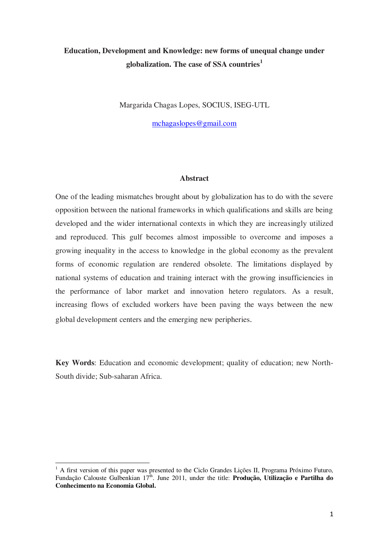## **Education, Development and Knowledge: new forms of unequal change under globalization. The case of SSA countries<sup>1</sup>**

Margarida Chagas Lopes, SOCIUS, ISEG-UTL

[mchagaslopes@gmail.com](mailto:mchagaslopes@gmail.com)

#### **Abstract**

One of the leading mismatches brought about by globalization has to do with the severe opposition between the national frameworks in which qualifications and skills are being developed and the wider international contexts in which they are increasingly utilized and reproduced. This gulf becomes almost impossible to overcome and imposes a growing inequality in the access to knowledge in the global economy as the prevalent forms of economic regulation are rendered obsolete. The limitations displayed by national systems of education and training interact with the growing insufficiencies in the performance of labor market and innovation hetero regulators. As a result, increasing flows of excluded workers have been paving the ways between the new global development centers and the emerging new peripheries.

**Key Words**: Education and economic development; quality of education; new North-South divide; Sub-saharan Africa.

l

<sup>&</sup>lt;sup>1</sup> A first version of this paper was presented to the Ciclo Grandes Lições II, Programa Próximo Futuro, Fundação Calouste Gulbenkian 17<sup>th</sup>. June 2011, under the title: **Produção, Utilização e Partilha do Conhecimento na Economia Global.**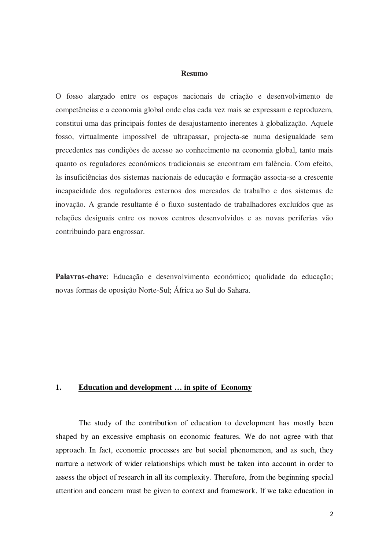#### **Resumo**

O fosso alargado entre os espaços nacionais de criação e desenvolvimento de competências e a economia global onde elas cada vez mais se expressam e reproduzem, constitui uma das principais fontes de desajustamento inerentes à globalização. Aquele fosso, virtualmente impossível de ultrapassar, projecta-se numa desigualdade sem precedentes nas condições de acesso ao conhecimento na economia global, tanto mais quanto os reguladores económicos tradicionais se encontram em falência. Com efeito, às insuficiências dos sistemas nacionais de educação e formação associa-se a crescente incapacidade dos reguladores externos dos mercados de trabalho e dos sistemas de inovação. A grande resultante é o fluxo sustentado de trabalhadores excluídos que as relações desiguais entre os novos centros desenvolvidos e as novas periferias vão contribuindo para engrossar.

**Palavras-chave**: Educação e desenvolvimento económico; qualidade da educação; novas formas de oposição Norte-Sul; África ao Sul do Sahara.

#### **1. Education and development … in spite of Economy**

The study of the contribution of education to development has mostly been shaped by an excessive emphasis on economic features. We do not agree with that approach. In fact, economic processes are but social phenomenon, and as such, they nurture a network of wider relationships which must be taken into account in order to assess the object of research in all its complexity. Therefore, from the beginning special attention and concern must be given to context and framework. If we take education in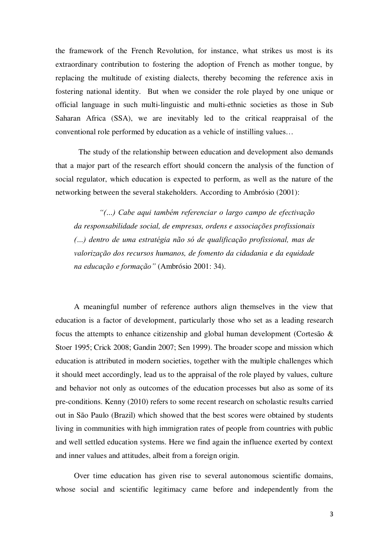the framework of the French Revolution, for instance, what strikes us most is its extraordinary contribution to fostering the adoption of French as mother tongue, by replacing the multitude of existing dialects, thereby becoming the reference axis in fostering national identity. But when we consider the role played by one unique or official language in such multi-linguistic and multi-ethnic societies as those in Sub Saharan Africa (SSA), we are inevitably led to the critical reappraisal of the conventional role performed by education as a vehicle of instilling values…

The study of the relationship between education and development also demands that a major part of the research effort should concern the analysis of the function of social regulator, which education is expected to perform, as well as the nature of the networking between the several stakeholders. According to Ambrósio (2001):

*"(…) Cabe aqui também referenciar o largo campo de efectivação da responsabilidade social, de empresas, ordens e associações profissionais (…) dentro de uma estratégia não só de qualificação profissional, mas de valorização dos recursos humanos, de fomento da cidadania e da equidade na educação e formação"* (Ambrósio 2001: 34).

A meaningful number of reference authors align themselves in the view that education is a factor of development, particularly those who set as a leading research focus the attempts to enhance citizenship and global human development (Cortesão & Stoer 1995; Crick 2008; Gandin 2007; Sen 1999). The broader scope and mission which education is attributed in modern societies, together with the multiple challenges which it should meet accordingly, lead us to the appraisal of the role played by values, culture and behavior not only as outcomes of the education processes but also as some of its pre-conditions. Kenny (2010) refers to some recent research on scholastic results carried out in São Paulo (Brazil) which showed that the best scores were obtained by students living in communities with high immigration rates of people from countries with public and well settled education systems. Here we find again the influence exerted by context and inner values and attitudes, albeit from a foreign origin.

Over time education has given rise to several autonomous scientific domains, whose social and scientific legitimacy came before and independently from the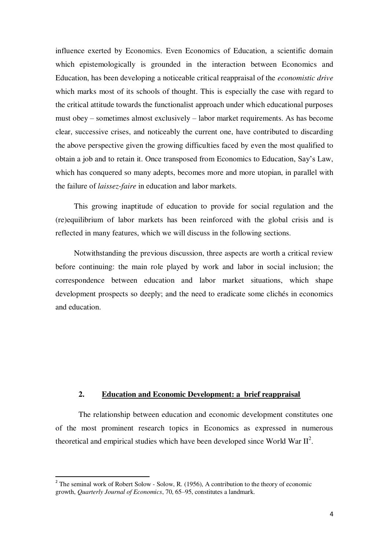influence exerted by Economics. Even Economics of Education, a scientific domain which epistemologically is grounded in the interaction between Economics and Education, has been developing a noticeable critical reappraisal of the *economistic drive* which marks most of its schools of thought. This is especially the case with regard to the critical attitude towards the functionalist approach under which educational purposes must obey – sometimes almost exclusively – labor market requirements. As has become clear, successive crises, and noticeably the current one, have contributed to discarding the above perspective given the growing difficulties faced by even the most qualified to obtain a job and to retain it. Once transposed from Economics to Education, Say's Law, which has conquered so many adepts, becomes more and more utopian, in parallel with the failure of *laissez-faire* in education and labor markets.

This growing inaptitude of education to provide for social regulation and the (re)equilibrium of labor markets has been reinforced with the global crisis and is reflected in many features, which we will discuss in the following sections.

Notwithstanding the previous discussion, three aspects are worth a critical review before continuing: the main role played by work and labor in social inclusion; the correspondence between education and labor market situations, which shape development prospects so deeply; and the need to eradicate some clichés in economics and education.

#### **2. Education and Economic Development: a brief reappraisal**

The relationship between education and economic development constitutes one of the most prominent research topics in Economics as expressed in numerous theoretical and empirical studies which have been developed since World War  $II^2$ .

 $\overline{a}$ 

<sup>&</sup>lt;sup>2</sup> The seminal work of Robert Solow - Solow, R. (1956), A contribution to the theory of economic growth, *Quarterly Journal of Economics*, 70, 65–95, constitutes a landmark.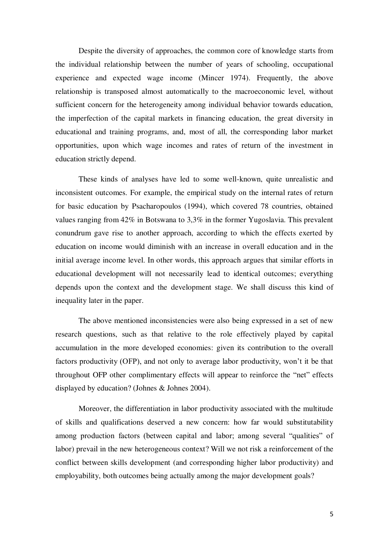Despite the diversity of approaches, the common core of knowledge starts from the individual relationship between the number of years of schooling, occupational experience and expected wage income (Mincer 1974). Frequently, the above relationship is transposed almost automatically to the macroeconomic level, without sufficient concern for the heterogeneity among individual behavior towards education, the imperfection of the capital markets in financing education, the great diversity in educational and training programs, and, most of all, the corresponding labor market opportunities, upon which wage incomes and rates of return of the investment in education strictly depend.

These kinds of analyses have led to some well-known, quite unrealistic and inconsistent outcomes. For example, the empirical study on the internal rates of return for basic education by Psacharopoulos (1994), which covered 78 countries, obtained values ranging from 42% in Botswana to 3,3% in the former Yugoslavia. This prevalent conundrum gave rise to another approach, according to which the effects exerted by education on income would diminish with an increase in overall education and in the initial average income level. In other words, this approach argues that similar efforts in educational development will not necessarily lead to identical outcomes; everything depends upon the context and the development stage. We shall discuss this kind of inequality later in the paper.

The above mentioned inconsistencies were also being expressed in a set of new research questions, such as that relative to the role effectively played by capital accumulation in the more developed economies: given its contribution to the overall factors productivity (OFP), and not only to average labor productivity, won't it be that throughout OFP other complimentary effects will appear to reinforce the "net" effects displayed by education? (Johnes & Johnes 2004).

Moreover, the differentiation in labor productivity associated with the multitude of skills and qualifications deserved a new concern: how far would substitutability among production factors (between capital and labor; among several "qualities" of labor) prevail in the new heterogeneous context? Will we not risk a reinforcement of the conflict between skills development (and corresponding higher labor productivity) and employability, both outcomes being actually among the major development goals?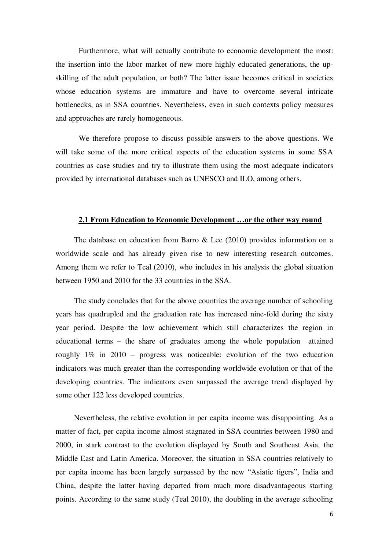Furthermore, what will actually contribute to economic development the most: the insertion into the labor market of new more highly educated generations, the upskilling of the adult population, or both? The latter issue becomes critical in societies whose education systems are immature and have to overcome several intricate bottlenecks, as in SSA countries. Nevertheless, even in such contexts policy measures and approaches are rarely homogeneous.

We therefore propose to discuss possible answers to the above questions. We will take some of the more critical aspects of the education systems in some SSA countries as case studies and try to illustrate them using the most adequate indicators provided by international databases such as UNESCO and ILO, among others.

#### **2.1 From Education to Economic Development …or the other way round**

The database on education from Barro & Lee (2010) provides information on a worldwide scale and has already given rise to new interesting research outcomes. Among them we refer to Teal (2010), who includes in his analysis the global situation between 1950 and 2010 for the 33 countries in the SSA.

The study concludes that for the above countries the average number of schooling years has quadrupled and the graduation rate has increased nine-fold during the sixty year period. Despite the low achievement which still characterizes the region in educational terms – the share of graduates among the whole population attained roughly 1% in 2010 – progress was noticeable: evolution of the two education indicators was much greater than the corresponding worldwide evolution or that of the developing countries. The indicators even surpassed the average trend displayed by some other 122 less developed countries.

Nevertheless, the relative evolution in per capita income was disappointing. As a matter of fact, per capita income almost stagnated in SSA countries between 1980 and 2000, in stark contrast to the evolution displayed by South and Southeast Asia, the Middle East and Latin America. Moreover, the situation in SSA countries relatively to per capita income has been largely surpassed by the new "Asiatic tigers", India and China, despite the latter having departed from much more disadvantageous starting points. According to the same study (Teal 2010), the doubling in the average schooling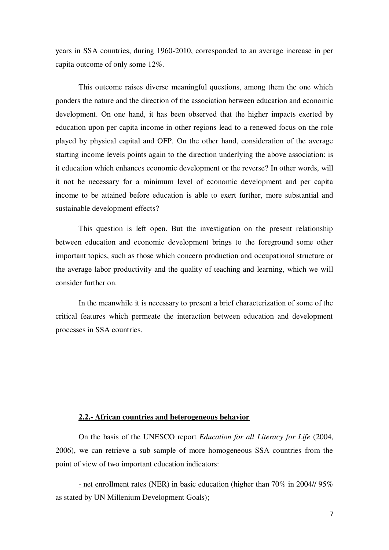years in SSA countries, during 1960-2010, corresponded to an average increase in per capita outcome of only some 12%.

This outcome raises diverse meaningful questions, among them the one which ponders the nature and the direction of the association between education and economic development. On one hand, it has been observed that the higher impacts exerted by education upon per capita income in other regions lead to a renewed focus on the role played by physical capital and OFP. On the other hand, consideration of the average starting income levels points again to the direction underlying the above association: is it education which enhances economic development or the reverse? In other words, will it not be necessary for a minimum level of economic development and per capita income to be attained before education is able to exert further, more substantial and sustainable development effects?

This question is left open. But the investigation on the present relationship between education and economic development brings to the foreground some other important topics, such as those which concern production and occupational structure or the average labor productivity and the quality of teaching and learning, which we will consider further on.

In the meanwhile it is necessary to present a brief characterization of some of the critical features which permeate the interaction between education and development processes in SSA countries.

## **2.2.- African countries and heterogeneous behavior**

 On the basis of the UNESCO report *Education for all Literacy for Life* (2004, 2006), we can retrieve a sub sample of more homogeneous SSA countries from the point of view of two important education indicators:

- net enrollment rates (NER) in basic education (higher than 70% in 2004// 95% as stated by UN Millenium Development Goals);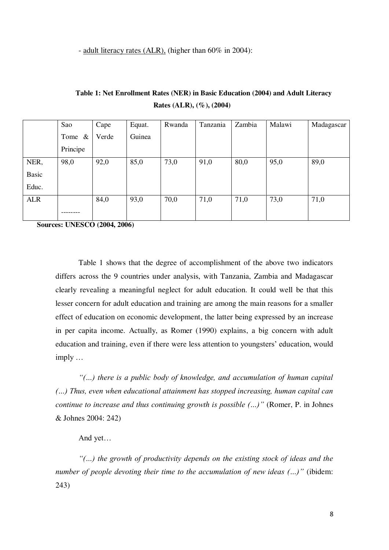- adult literacy rates (ALR), (higher than 60% in 2004):

|              | Sao          | Cape  | Equat. | Rwanda | Tanzania | Zambia | Malawi | Madagascar |
|--------------|--------------|-------|--------|--------|----------|--------|--------|------------|
|              | Tome<br>$\&$ | Verde | Guinea |        |          |        |        |            |
|              | Principe     |       |        |        |          |        |        |            |
| NER,         | 98,0         | 92,0  | 85,0   | 73,0   | 91,0     | 80,0   | 95,0   | 89,0       |
| <b>Basic</b> |              |       |        |        |          |        |        |            |
| Educ.        |              |       |        |        |          |        |        |            |
| <b>ALR</b>   |              | 84,0  | 93,0   | 70,0   | 71,0     | 71,0   | 73,0   | 71,0       |
|              |              |       |        |        |          |        |        |            |

**Table 1: Net Enrollment Rates (NER) in Basic Education (2004) and Adult Literacy Rates (ALR), (%), (2004)** 

**Sources: UNESCO (2004, 2006)** 

 Table 1 shows that the degree of accomplishment of the above two indicators differs across the 9 countries under analysis, with Tanzania, Zambia and Madagascar clearly revealing a meaningful neglect for adult education. It could well be that this lesser concern for adult education and training are among the main reasons for a smaller effect of education on economic development, the latter being expressed by an increase in per capita income. Actually, as Romer (1990) explains, a big concern with adult education and training, even if there were less attention to youngsters' education, would imply …

*"(…) there is a public body of knowledge, and accumulation of human capital (…) Thus, even when educational attainment has stopped increasing, human capital can continue to increase and thus continuing growth is possible (…)"* (Romer, P. in Johnes & Johnes 2004: 242)

And yet…

*"(…) the growth of productivity depends on the existing stock of ideas and the number of people devoting their time to the accumulation of new ideas (…)"* (ibidem: 243)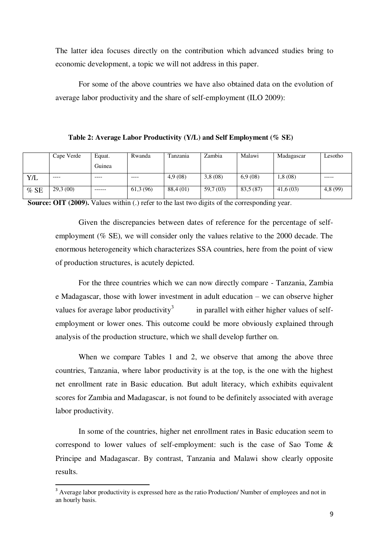The latter idea focuses directly on the contribution which advanced studies bring to economic development, a topic we will not address in this paper.

For some of the above countries we have also obtained data on the evolution of average labor productivity and the share of self-employment (ILO 2009):

**Table 2: Average Labor Productivity (Y/L) and Self Employment (% SE)**

|            | Cape Verde | Equat.  | Rwanda     | Tanzania  | Zambia   | Malawi    | Madagascar | Lesotho |
|------------|------------|---------|------------|-----------|----------|-----------|------------|---------|
|            |            | Guinea  |            |           |          |           |            |         |
| <b>Y/L</b> | $--- -$    | $--- -$ | $--- -$    | 4.9(08)   | 3,8(08)  | 6.9(08)   | 1,8 (08)   | ------  |
| %SE        | 29.3(00)   | ------- | 61, 3 (96) | 88,4 (01) | 59,7(03) | 83,5 (87) | 41,6(03)   | 4,8(99) |

**Source: OIT (2009).** Values within (.) refer to the last two digits of the corresponding year.

Given the discrepancies between dates of reference for the percentage of selfemployment (% SE), we will consider only the values relative to the 2000 decade. The enormous heterogeneity which characterizes SSA countries, here from the point of view of production structures, is acutely depicted.

 For the three countries which we can now directly compare - Tanzania, Zambia e Madagascar, those with lower investment in adult education – we can observe higher values for average labor productivity<sup>3</sup> in parallel with either higher values of selfemployment or lower ones. This outcome could be more obviously explained through analysis of the production structure, which we shall develop further on.

When we compare Tables 1 and 2, we observe that among the above three countries, Tanzania, where labor productivity is at the top, is the one with the highest net enrollment rate in Basic education. But adult literacy, which exhibits equivalent scores for Zambia and Madagascar, is not found to be definitely associated with average labor productivity.

 In some of the countries, higher net enrollment rates in Basic education seem to correspond to lower values of self-employment: such is the case of Sao Tome & Principe and Madagascar. By contrast, Tanzania and Malawi show clearly opposite results.

l

<sup>&</sup>lt;sup>3</sup> Average labor productivity is expressed here as the ratio Production/Number of employees and not in an hourly basis.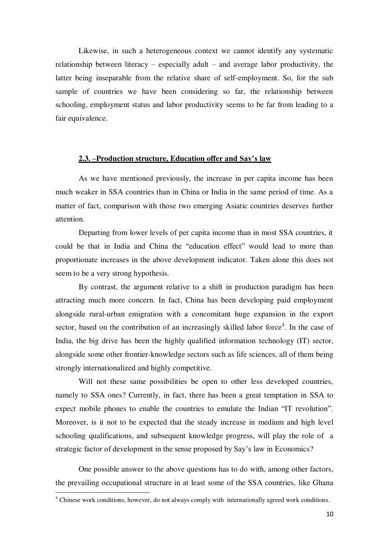Likewise, in such a heterogeneous context we cannot identify any systematic relationship between literacy – especially adult – and average labor productivity, the latter being inseparable from the relative share of self-employment. So, for the sub sample of countries we have been considering so far, the relationship between schooling, employment status and labor productivity seems to be far from leading to a fair equivalence.

#### **2.3. –Production structure, Education offer and Say's law**

As we have mentioned previously, the increase in per capita income has been much weaker in SSA countries than in China or India in the same period of time. As a matter of fact, comparison with those two emerging Asiatic countries deserves further attention.

Departing from lower levels of per capita income than in most SSA countries, it could be that in India and China the "education effect" would lead to more than proportionate increases in the above development indicator. Taken alone this does not seem to be a very strong hypothesis.

By contrast, the argument relative to a shift in production paradigm has been attracting much more concern. In fact, China has been developing paid employment alongside rural-urban emigration with a concomitant huge expansion in the export sector, based on the contribution of an increasingly skilled labor force<sup>4</sup>. In the case of India, the big drive has been the highly qualified information technology (IT) sector, alongside some other frontier-knowledge sectors such as life sciences, all of them being strongly internationalized and highly competitive.

Will not these same possibilities be open to other less developed countries, namely to SSA ones? Currently, in fact, there has been a great temptation in SSA to expect mobile phones to enable the countries to emulate the Indian "IT revolution". Moreover, is it not to be expected that the steady increase in medium and high level schooling qualifications, and subsequent knowledge progress, will play the role of a strategic factor of development in the sense proposed by Say's law in Economics?

One possible answer to the above questions has to do with, among other factors, the prevailing occupational structure in at least some of the SSA countries, like Ghana l

<sup>&</sup>lt;sup>4</sup> Chinese work conditions, however, do not always comply with internationally agreed work conditions.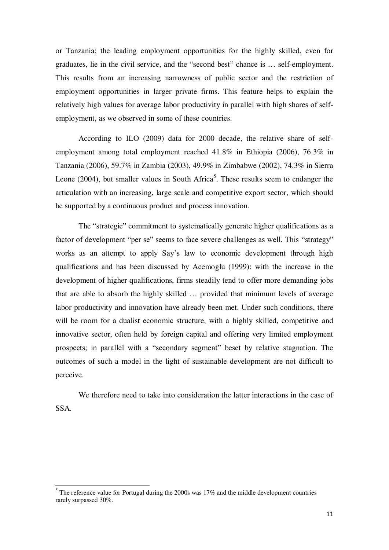or Tanzania; the leading employment opportunities for the highly skilled, even for graduates, lie in the civil service, and the "second best" chance is … self-employment. This results from an increasing narrowness of public sector and the restriction of employment opportunities in larger private firms. This feature helps to explain the relatively high values for average labor productivity in parallel with high shares of selfemployment, as we observed in some of these countries.

According to ILO (2009) data for 2000 decade, the relative share of selfemployment among total employment reached 41.8% in Ethiopia (2006), 76.3% in Tanzania (2006), 59.7% in Zambia (2003), 49.9% in Zimbabwe (2002), 74.3% in Sierra Leone  $(2004)$ , but smaller values in South Africa<sup>5</sup>. These results seem to endanger the articulation with an increasing, large scale and competitive export sector, which should be supported by a continuous product and process innovation.

The "strategic" commitment to systematically generate higher qualifications as a factor of development "per se" seems to face severe challenges as well. This "strategy" works as an attempt to apply Say's law to economic development through high qualifications and has been discussed by Acemoglu (1999): with the increase in the development of higher qualifications, firms steadily tend to offer more demanding jobs that are able to absorb the highly skilled … provided that minimum levels of average labor productivity and innovation have already been met. Under such conditions, there will be room for a dualist economic structure, with a highly skilled, competitive and innovative sector, often held by foreign capital and offering very limited employment prospects; in parallel with a "secondary segment" beset by relative stagnation. The outcomes of such a model in the light of sustainable development are not difficult to perceive.

We therefore need to take into consideration the latter interactions in the case of SSA.

l

 $<sup>5</sup>$  The reference value for Portugal during the 2000s was 17% and the middle development countries</sup> rarely surpassed 30%.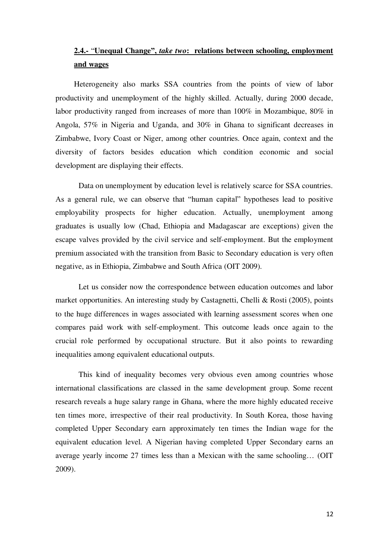# **2.4.-** "**Unequal Change",** *take two***: relations between schooling, employment and wages**

Heterogeneity also marks SSA countries from the points of view of labor productivity and unemployment of the highly skilled. Actually, during 2000 decade, labor productivity ranged from increases of more than 100% in Mozambique, 80% in Angola, 57% in Nigeria and Uganda, and 30% in Ghana to significant decreases in Zimbabwe, Ivory Coast or Niger, among other countries. Once again, context and the diversity of factors besides education which condition economic and social development are displaying their effects.

Data on unemployment by education level is relatively scarce for SSA countries. As a general rule, we can observe that "human capital" hypotheses lead to positive employability prospects for higher education. Actually, unemployment among graduates is usually low (Chad, Ethiopia and Madagascar are exceptions) given the escape valves provided by the civil service and self-employment. But the employment premium associated with the transition from Basic to Secondary education is very often negative, as in Ethiopia, Zimbabwe and South Africa (OIT 2009).

Let us consider now the correspondence between education outcomes and labor market opportunities. An interesting study by Castagnetti, Chelli & Rosti (2005), points to the huge differences in wages associated with learning assessment scores when one compares paid work with self-employment. This outcome leads once again to the crucial role performed by occupational structure. But it also points to rewarding inequalities among equivalent educational outputs.

This kind of inequality becomes very obvious even among countries whose international classifications are classed in the same development group. Some recent research reveals a huge salary range in Ghana, where the more highly educated receive ten times more, irrespective of their real productivity. In South Korea, those having completed Upper Secondary earn approximately ten times the Indian wage for the equivalent education level. A Nigerian having completed Upper Secondary earns an average yearly income 27 times less than a Mexican with the same schooling… (OIT 2009).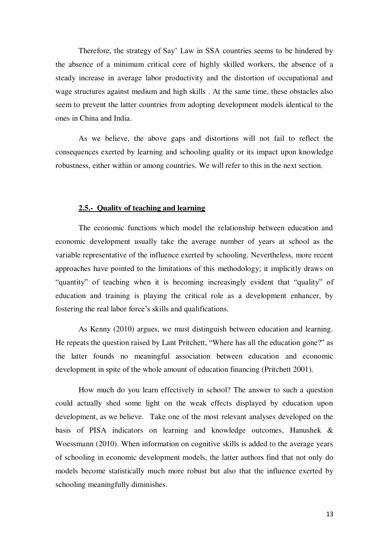Therefore, the strategy of Say' Law in SSA countries seems to be hindered by the absence of a minimum critical core of highly skilled workers, the absence of a steady increase in average labor productivity and the distortion of occupational and wage structures against medium and high skills . At the same time, these obstacles also seem to prevent the latter countries from adopting development models identical to the ones in China and India.

As we believe, the above gaps and distortions will not fail to reflect the consequences exerted by learning and schooling quality or its impact upon knowledge robustness, either within or among countries. We will refer to this in the next section.

#### **2.5.- Quality of teaching and learning**

The economic functions which model the relationship between education and economic development usually take the average number of years at school as the variable representative of the influence exerted by schooling. Nevertheless, more recent approaches have pointed to the limitations of this methodology; it implicitly draws on "quantity" of teaching when it is becoming increasingly evident that "quality" of education and training is playing the critical role as a development enhancer, by fostering the real labor force's skills and qualifications.

 As Kenny (2010) argues, we must distinguish between education and learning. He repeats the question raised by Lant Pritchett, "Where has all the education gone?" as the latter founds no meaningful association between education and economic development in spite of the whole amount of education financing (Pritchett 2001).

How much do you learn effectively in school? The answer to such a question could actually shed some light on the weak effects displayed by education upon development, as we believe. Take one of the most relevant analyses developed on the basis of PISA indicators on learning and knowledge outcomes, Hanushek & Woessmann (2010). When information on cognitive skills is added to the average years of schooling in economic development models, the latter authors find that not only do models become statistically much more robust but also that the influence exerted by schooling meaningfully diminishes.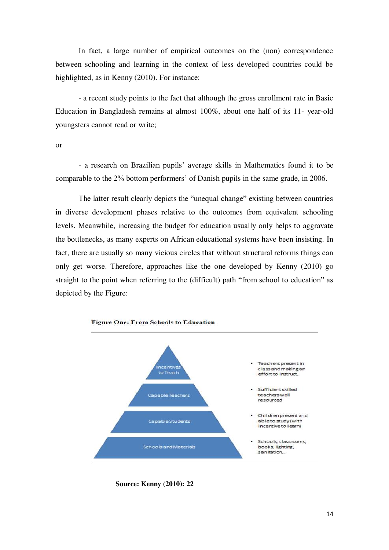In fact, a large number of empirical outcomes on the (non) correspondence between schooling and learning in the context of less developed countries could be highlighted, as in Kenny (2010). For instance:

 - a recent study points to the fact that although the gross enrollment rate in Basic Education in Bangladesh remains at almost 100%, about one half of its 11- year-old youngsters cannot read or write;

or

- a research on Brazilian pupils' average skills in Mathematics found it to be comparable to the 2% bottom performers' of Danish pupils in the same grade, in 2006.

The latter result clearly depicts the "unequal change" existing between countries in diverse development phases relative to the outcomes from equivalent schooling levels. Meanwhile, increasing the budget for education usually only helps to aggravate the bottlenecks, as many experts on African educational systems have been insisting. In fact, there are usually so many vicious circles that without structural reforms things can only get worse. Therefore, approaches like the one developed by Kenny (2010) go straight to the point when referring to the (difficult) path "from school to education" as depicted by the Figure:



**Source: Kenny (2010): 22**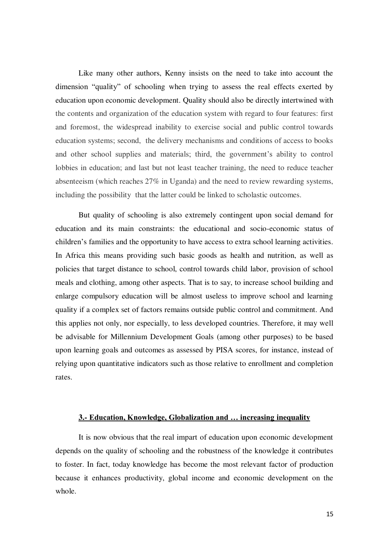Like many other authors, Kenny insists on the need to take into account the dimension "quality" of schooling when trying to assess the real effects exerted by education upon economic development. Quality should also be directly intertwined with the contents and organization of the education system with regard to four features: first and foremost, the widespread inability to exercise social and public control towards education systems; second, the delivery mechanisms and conditions of access to books and other school supplies and materials; third, the government's ability to control lobbies in education; and last but not least teacher training, the need to reduce teacher absenteeism (which reaches 27% in Uganda) and the need to review rewarding systems, including the possibility that the latter could be linked to scholastic outcomes.

But quality of schooling is also extremely contingent upon social demand for education and its main constraints: the educational and socio-economic status of children's families and the opportunity to have access to extra school learning activities. In Africa this means providing such basic goods as health and nutrition, as well as policies that target distance to school, control towards child labor, provision of school meals and clothing, among other aspects. That is to say, to increase school building and enlarge compulsory education will be almost useless to improve school and learning quality if a complex set of factors remains outside public control and commitment. And this applies not only, nor especially, to less developed countries. Therefore, it may well be advisable for Millennium Development Goals (among other purposes) to be based upon learning goals and outcomes as assessed by PISA scores, for instance, instead of relying upon quantitative indicators such as those relative to enrollment and completion rates.

#### **3.- Education, Knowledge, Globalization and … increasing inequality**

It is now obvious that the real impart of education upon economic development depends on the quality of schooling and the robustness of the knowledge it contributes to foster. In fact, today knowledge has become the most relevant factor of production because it enhances productivity, global income and economic development on the whole.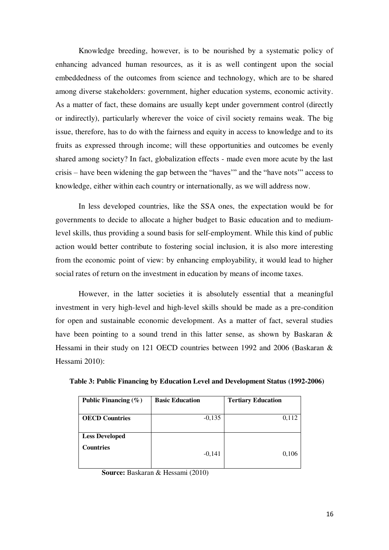Knowledge breeding, however, is to be nourished by a systematic policy of enhancing advanced human resources, as it is as well contingent upon the social embeddedness of the outcomes from science and technology, which are to be shared among diverse stakeholders: government, higher education systems, economic activity. As a matter of fact, these domains are usually kept under government control (directly or indirectly), particularly wherever the voice of civil society remains weak. The big issue, therefore, has to do with the fairness and equity in access to knowledge and to its fruits as expressed through income; will these opportunities and outcomes be evenly shared among society? In fact, globalization effects - made even more acute by the last crisis – have been widening the gap between the "haves'" and the "have nots'" access to knowledge, either within each country or internationally, as we will address now.

In less developed countries, like the SSA ones, the expectation would be for governments to decide to allocate a higher budget to Basic education and to mediumlevel skills, thus providing a sound basis for self-employment. While this kind of public action would better contribute to fostering social inclusion, it is also more interesting from the economic point of view: by enhancing employability, it would lead to higher social rates of return on the investment in education by means of income taxes.

 However, in the latter societies it is absolutely essential that a meaningful investment in very high-level and high-level skills should be made as a pre-condition for open and sustainable economic development. As a matter of fact, several studies have been pointing to a sound trend in this latter sense, as shown by Baskaran & Hessami in their study on 121 OECD countries between 1992 and 2006 (Baskaran & Hessami 2010):

| Public Financing $(\% )$                  | <b>Basic Education</b> | <b>Tertiary Education</b> |
|-------------------------------------------|------------------------|---------------------------|
| <b>OECD Countries</b>                     | $-0,135$               | 0,112                     |
| <b>Less Developed</b><br><b>Countries</b> | $-0,141$               | 0,106                     |

**Table 3: Public Financing by Education Level and Development Status (1992-2006)** 

 **Source:** Baskaran & Hessami (2010)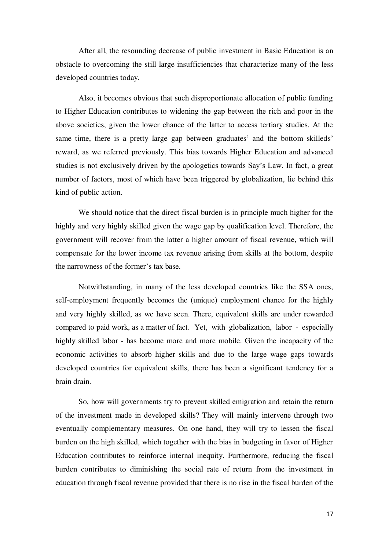After all, the resounding decrease of public investment in Basic Education is an obstacle to overcoming the still large insufficiencies that characterize many of the less developed countries today.

Also, it becomes obvious that such disproportionate allocation of public funding to Higher Education contributes to widening the gap between the rich and poor in the above societies, given the lower chance of the latter to access tertiary studies. At the same time, there is a pretty large gap between graduates' and the bottom skilleds' reward, as we referred previously. This bias towards Higher Education and advanced studies is not exclusively driven by the apologetics towards Say's Law. In fact, a great number of factors, most of which have been triggered by globalization, lie behind this kind of public action.

 We should notice that the direct fiscal burden is in principle much higher for the highly and very highly skilled given the wage gap by qualification level. Therefore, the government will recover from the latter a higher amount of fiscal revenue, which will compensate for the lower income tax revenue arising from skills at the bottom, despite the narrowness of the former's tax base.

 Notwithstanding, in many of the less developed countries like the SSA ones, self-employment frequently becomes the (unique) employment chance for the highly and very highly skilled, as we have seen. There, equivalent skills are under rewarded compared to paid work, as a matter of fact. Yet, with globalization, labor - especially highly skilled labor - has become more and more mobile. Given the incapacity of the economic activities to absorb higher skills and due to the large wage gaps towards developed countries for equivalent skills, there has been a significant tendency for a brain drain.

 So, how will governments try to prevent skilled emigration and retain the return of the investment made in developed skills? They will mainly intervene through two eventually complementary measures. On one hand, they will try to lessen the fiscal burden on the high skilled, which together with the bias in budgeting in favor of Higher Education contributes to reinforce internal inequity. Furthermore, reducing the fiscal burden contributes to diminishing the social rate of return from the investment in education through fiscal revenue provided that there is no rise in the fiscal burden of the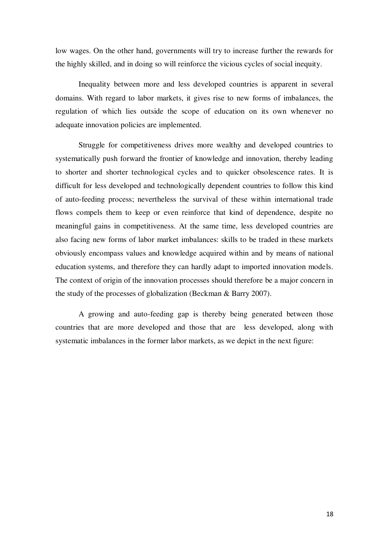low wages. On the other hand, governments will try to increase further the rewards for the highly skilled, and in doing so will reinforce the vicious cycles of social inequity.

 Inequality between more and less developed countries is apparent in several domains. With regard to labor markets, it gives rise to new forms of imbalances, the regulation of which lies outside the scope of education on its own whenever no adequate innovation policies are implemented.

 Struggle for competitiveness drives more wealthy and developed countries to systematically push forward the frontier of knowledge and innovation, thereby leading to shorter and shorter technological cycles and to quicker obsolescence rates. It is difficult for less developed and technologically dependent countries to follow this kind of auto-feeding process; nevertheless the survival of these within international trade flows compels them to keep or even reinforce that kind of dependence, despite no meaningful gains in competitiveness. At the same time, less developed countries are also facing new forms of labor market imbalances: skills to be traded in these markets obviously encompass values and knowledge acquired within and by means of national education systems, and therefore they can hardly adapt to imported innovation models. The context of origin of the innovation processes should therefore be a major concern in the study of the processes of globalization (Beckman & Barry 2007).

A growing and auto-feeding gap is thereby being generated between those countries that are more developed and those that are less developed, along with systematic imbalances in the former labor markets, as we depict in the next figure: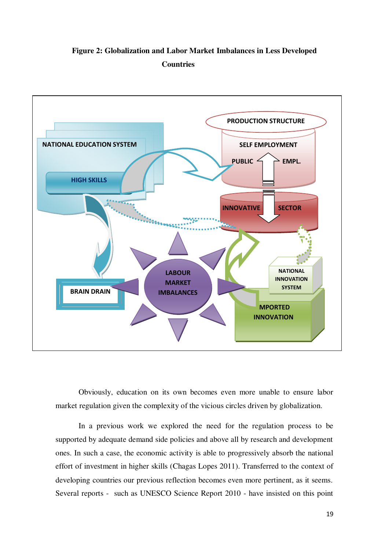**Figure 2: Globalization and Labor Market Imbalances in Less Developed Countries** 



Obviously, education on its own becomes even more unable to ensure labor market regulation given the complexity of the vicious circles driven by globalization.

In a previous work we explored the need for the regulation process to be supported by adequate demand side policies and above all by research and development ones. In such a case, the economic activity is able to progressively absorb the national effort of investment in higher skills (Chagas Lopes 2011). Transferred to the context of developing countries our previous reflection becomes even more pertinent, as it seems. Several reports - such as UNESCO Science Report 2010 - have insisted on this point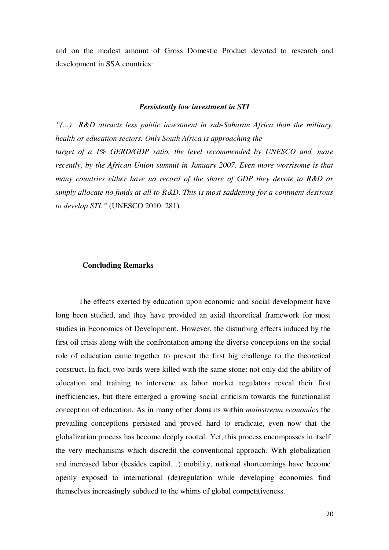and on the modest amount of Gross Domestic Product devoted to research and development in SSA countries:

#### *Persistently low investment in STI*

*"(…) R&D attracts less public investment in sub-Saharan Africa than the military, health or education sectors. Only South Africa is approaching the target of a 1% GERD/GDP ratio, the level recommended by UNESCO and, more recently, by the African Union summit in January 2007. Even more worrisome is that many countries either have no record of the share of GDP they devote to R&D or simply allocate no funds at all to R&D. This is most saddening for a continent desirous to develop STI."* (UNESCO 2010: 281).

#### **Concluding Remarks**

The effects exerted by education upon economic and social development have long been studied, and they have provided an axial theoretical framework for most studies in Economics of Development. However, the disturbing effects induced by the first oil crisis along with the confrontation among the diverse conceptions on the social role of education came together to present the first big challenge to the theoretical construct. In fact, two birds were killed with the same stone: not only did the ability of education and training to intervene as labor market regulators reveal their first inefficiencies, but there emerged a growing social criticism towards the functionalist conception of education. As in many other domains within *mainstream economics* the prevailing conceptions persisted and proved hard to eradicate, even now that the globalization process has become deeply rooted. Yet, this process encompasses in itself the very mechanisms which discredit the conventional approach. With globalization and increased labor (besides capital…) mobility, national shortcomings have become openly exposed to international (de)regulation while developing economies find themselves increasingly subdued to the whims of global competitiveness.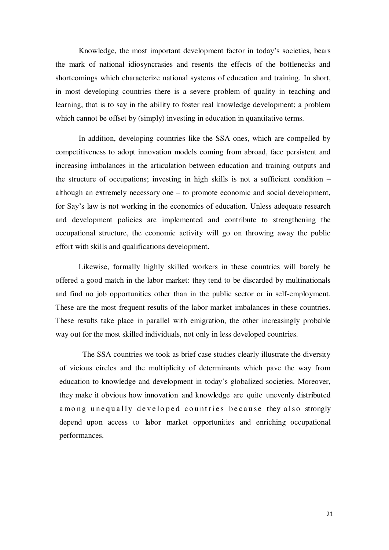Knowledge, the most important development factor in today's societies, bears the mark of national idiosyncrasies and resents the effects of the bottlenecks and shortcomings which characterize national systems of education and training. In short, in most developing countries there is a severe problem of quality in teaching and learning, that is to say in the ability to foster real knowledge development; a problem which cannot be offset by (simply) investing in education in quantitative terms.

In addition, developing countries like the SSA ones, which are compelled by competitiveness to adopt innovation models coming from abroad, face persistent and increasing imbalances in the articulation between education and training outputs and the structure of occupations; investing in high skills is not a sufficient condition – although an extremely necessary one – to promote economic and social development, for Say's law is not working in the economics of education. Unless adequate research and development policies are implemented and contribute to strengthening the occupational structure, the economic activity will go on throwing away the public effort with skills and qualifications development.

Likewise, formally highly skilled workers in these countries will barely be offered a good match in the labor market: they tend to be discarded by multinationals and find no job opportunities other than in the public sector or in self-employment. These are the most frequent results of the labor market imbalances in these countries. These results take place in parallel with emigration, the other increasingly probable way out for the most skilled individuals, not only in less developed countries.

The SSA countries we took as brief case studies clearly illustrate the diversity of vicious circles and the multiplicity of determinants which pave the way from education to knowledge and development in today's globalized societies. Moreover, they make it obvious how innovation and knowledge are quite unevenly distributed among unequally developed countries because they also strongly depend upon access to labor market opportunities and enriching occupational performances.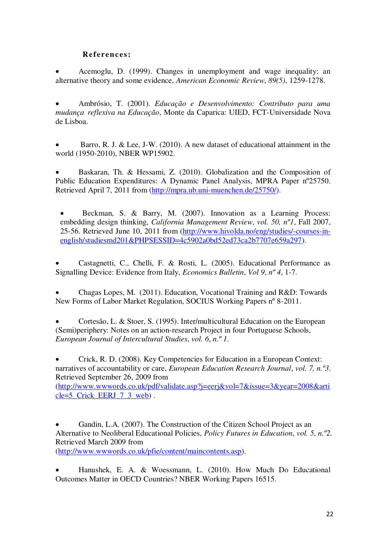### **References:**

 Acemoglu, D. (1999). Changes in unemployment and wage inequality: an alternative theory and some evidence, *American Economic Review*, *89(5)*, 1259-1278.

 Ambrósio, T. (2001). *Educação e Desenvolvimento: Contributo para uma mudança reflexiva na Educação*, Monte da Caparica: UIED, FCT-Universidade Nova de Lisboa.

 Barro, R. J. & Lee, J-W. (2010). A new dataset of educational attainment in the world (1950-2010), NBER WP15902.

 Baskaran, Th. & Hessami, Z. (2010). Globalization and the Composition of Public Education Expenditures: A Dynamic Panel Analysis, MPRA Paper nº25750. Retrieved April 7, 2011 from [\(http://mpra.ub.uni-muenchen.de/25750/\)](http://mpra.ub.uni-muenchen.de/25750/).

 Beckman, S. & Barry, M. (2007). Innovation as a Learning Process: embedding design thinking, *California Management Review*, *vol. 50, nº1*, Fall 2007, 25-56. Retrieved June 10, 2011 from [\(http://www.hivolda.no/eng/studies/-courses-in](http://www.hivolda.no/eng/studies/-courses-in-english/studiesmd201&PHPSESSID=4c5902a0bd52ed73ca2b7707e659a297)[english/studiesmd201&PHPSESSID=4c5902a0bd52ed73ca2b7707e659a297\)](http://www.hivolda.no/eng/studies/-courses-in-english/studiesmd201&PHPSESSID=4c5902a0bd52ed73ca2b7707e659a297).

 Castagnetti, C., Chelli, F. & Rosti, L. (2005). Educational Performance as Signalling Device: Evidence from Italy, *Economics Bulletin*, *Vol 9*, *nº 4*, 1-7.

 Chagas Lopes, M. (2011). Education, Vocational Training and R&D: Towards New Forms of Labor Market Regulation, SOCIUS Working Papers nº 8-2011.

 Cortesão, L. & Stoer, S. (1995). Inter/multicultural Education on the European (Semi)periphery: Notes on an action-research Project in four Portuguese Schools, *European Journal of Intercultural Studies*, *vol. 6*, *n.º 1*.

 Crick, R. D. (2008). Key Competencies for Education in a European Context: narratives of accountability or care, *European Education Research Journal*, *vol. 7, n.º3*. Retrieved September 26, 2009 from

[\(http://www.wwwords.co.uk/pdf/validate.asp?j=eerj&vol=7&issue=3&year=2008&arti](http://www.wwwords.co.uk/pdf/validate.asp?j=eerj&vol=7&issue=3&year=2008&article=5_Crick_EERJ_7_3_web) cle=5 Crick EERJ 7 3 web).

 Gandin, L.A. (2007). The Construction of the Citizen School Project as an Alternative to Neoliberal Educational Policies, *Policy Futures in Education*, *vol. 5*, *n.º2*. Retrieved March 2009 from [\(http://www.wwwords.co.uk/pfie/content/maincontents.asp\)](http://www.wwwords.co.uk/pfie/content/maincontents.asp).

 Hanushek, E. A. & Woessmann, L. (2010). How Much Do Educational Outcomes Matter in OECD Countries? NBER Working Papers 16515.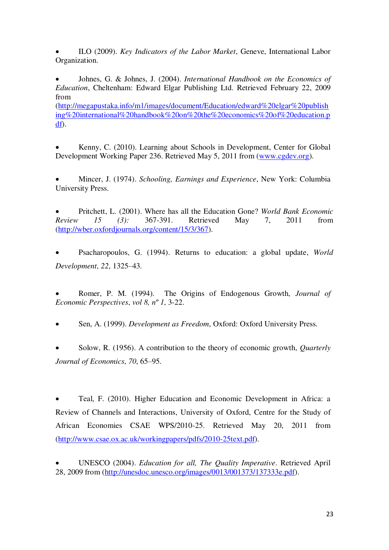ILO (2009). *Key Indicators of the Labor Market*, Geneve, International Labor Organization.

 Johnes, G. & Johnes, J. (2004). *International Handbook on the Economics of Education*, Cheltenham: Edward Elgar Publishing Ltd. Retrieved February 22, 2009 from

[\(http://megapustaka.info/m1/images/document/Education/edward%20elgar%20publish](http://megapustaka.info/m1/images/document/Education/edward%20elgar%20publishing%20international%20handbook%20on%20the%20economics%20of%20education.pdf) [ing%20international%20handbook%20on%20the%20economics%20of%20education.p](http://megapustaka.info/m1/images/document/Education/edward%20elgar%20publishing%20international%20handbook%20on%20the%20economics%20of%20education.pdf) [df\)](http://megapustaka.info/m1/images/document/Education/edward%20elgar%20publishing%20international%20handbook%20on%20the%20economics%20of%20education.pdf).

 Kenny, C. (2010). Learning about Schools in Development, Center for Global Development Working Paper 236. Retrieved May 5, 2011 from [\(www.cgdev.org\)](http://www.cgdev.org/).

 Mincer, J. (1974). *Schooling, Earnings and Experience*, New York: Columbia University Press.

 Pritchett, L. (2001). Where has all the Education Gone? *World Bank Economic Review 15 (3):* 367-391. Retrieved May 7, 2011 from [\(http://wber.oxfordjournals.org/content/15/3/367\)](http://wber.oxfordjournals.org/content/15/3/367).

 Psacharopoulos, G. (1994). Returns to education: a global update, *World Development*, *22*, 1325–43.

 Romer, P. M. (1994). The Origins of Endogenous Growth, *Journal of Economic Perspectives*, *vol 8, nº 1*, 3-22.

Sen, A. (1999). *Development as Freedom*, Oxford: Oxford University Press.

 Solow, R. (1956). A contribution to the theory of economic growth, *Quarterly Journal of Economics*, *70*, 65–95.

 Teal, F. (2010). Higher Education and Economic Development in Africa: a Review of Channels and Interactions, University of Oxford, Centre for the Study of African Economies CSAE WPS/2010-25. Retrieved May 20, 2011 from [\(http://www.csae.ox.ac.uk/workingpapers/pdfs/2010-25text.pdf\)](http://www.csae.ox.ac.uk/workingpapers/pdfs/2010-25text.pdf).

 UNESCO (2004). *Education for all, The Quality Imperative*. Retrieved April 28, 2009 from [\(http://unesdoc.unesco.org/images/0013/001373/137333e.pdf\)](http://unesdoc.unesco.org/images/0013/001373/137333e.pdf).